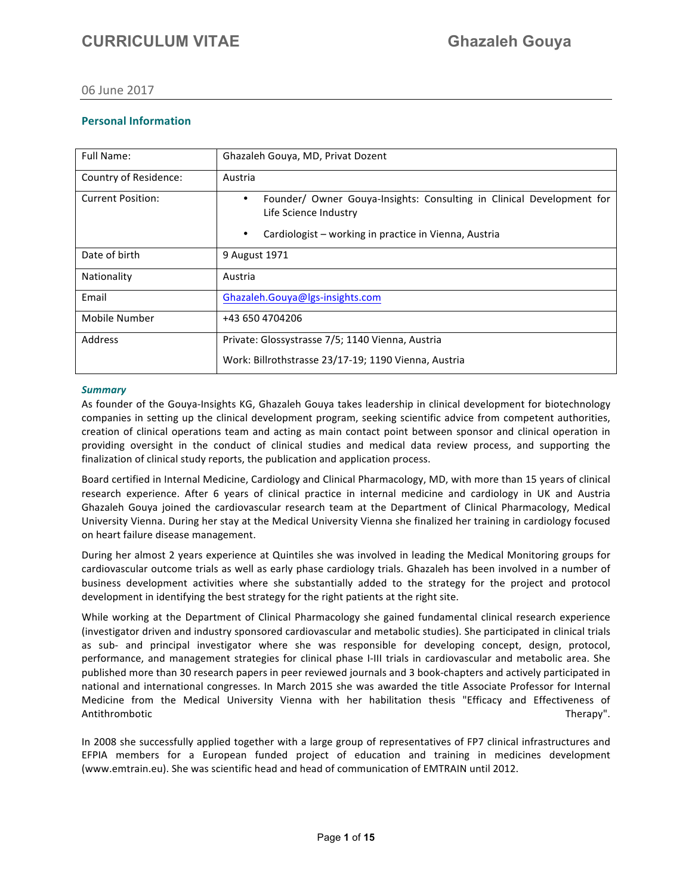### 06 June 2017

### **Personal Information**

| Full Name:               | Ghazaleh Gouya, MD, Privat Dozent                                                                                                                                         |
|--------------------------|---------------------------------------------------------------------------------------------------------------------------------------------------------------------------|
| Country of Residence:    | Austria                                                                                                                                                                   |
| <b>Current Position:</b> | Founder/ Owner Gouya-Insights: Consulting in Clinical Development for<br>٠<br>Life Science Industry<br>Cardiologist - working in practice in Vienna, Austria<br>$\bullet$ |
| Date of birth            | 9 August 1971                                                                                                                                                             |
| Nationality              | Austria                                                                                                                                                                   |
| Email                    | Ghazaleh.Gouya@lgs-insights.com                                                                                                                                           |
| Mobile Number            | +43 650 4704206                                                                                                                                                           |
| Address                  | Private: Glossystrasse 7/5; 1140 Vienna, Austria<br>Work: Billrothstrasse 23/17-19; 1190 Vienna, Austria                                                                  |

#### *Summary*

As founder of the Gouya-Insights KG, Ghazaleh Gouya takes leadership in clinical development for biotechnology companies in setting up the clinical development program, seeking scientific advice from competent authorities, creation of clinical operations team and acting as main contact point between sponsor and clinical operation in providing oversight in the conduct of clinical studies and medical data review process, and supporting the finalization of clinical study reports, the publication and application process.

Board certified in Internal Medicine, Cardiology and Clinical Pharmacology, MD, with more than 15 years of clinical research experience. After 6 years of clinical practice in internal medicine and cardiology in UK and Austria Ghazaleh Gouya joined the cardiovascular research team at the Department of Clinical Pharmacology, Medical University Vienna. During her stay at the Medical University Vienna she finalized her training in cardiology focused on heart failure disease management.

During her almost 2 years experience at Quintiles she was involved in leading the Medical Monitoring groups for cardiovascular outcome trials as well as early phase cardiology trials. Ghazaleh has been involved in a number of business development activities where she substantially added to the strategy for the project and protocol development in identifying the best strategy for the right patients at the right site.

While working at the Department of Clinical Pharmacology she gained fundamental clinical research experience (investigator driven and industry sponsored cardiovascular and metabolic studies). She participated in clinical trials as sub- and principal investigator where she was responsible for developing concept, design, protocol, performance, and management strategies for clinical phase I-III trials in cardiovascular and metabolic area. She published more than 30 research papers in peer reviewed journals and 3 book-chapters and actively participated in national and international congresses. In March 2015 she was awarded the title Associate Professor for Internal Medicine from the Medical University Vienna with her habilitation thesis "Efficacy and Effectiveness of Antithrombotic **therapy".** Therapy". Therapy". Therapy". Therapy". Therapy". Therapy". Therapy". Therapy". Therapy

In 2008 she successfully applied together with a large group of representatives of FP7 clinical infrastructures and EFPIA members for a European funded project of education and training in medicines development (www.emtrain.eu). She was scientific head and head of communication of EMTRAIN until 2012.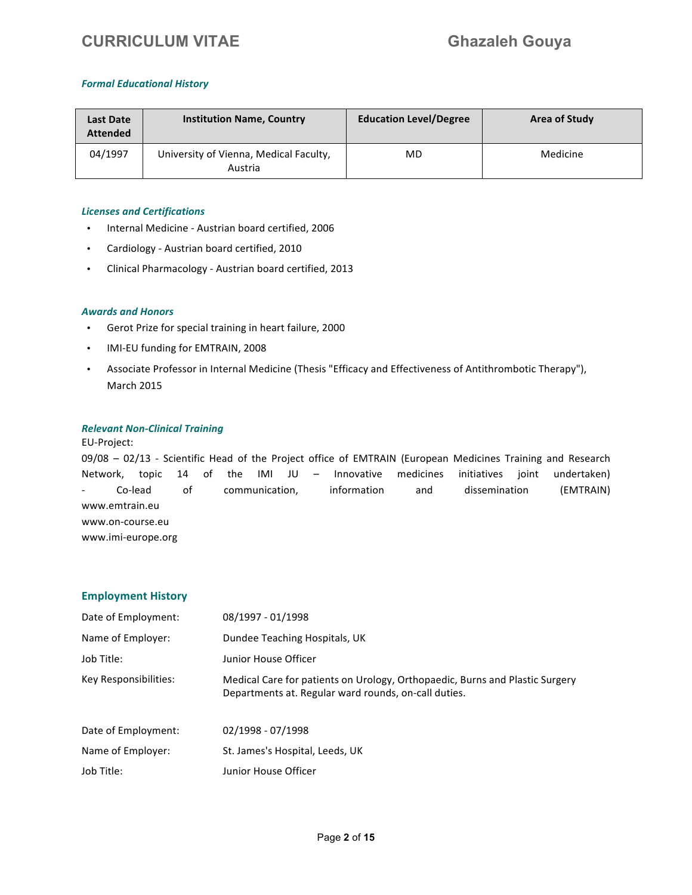#### *Formal Educational History*

| Last Date<br><b>Attended</b> | <b>Institution Name, Country</b>                  | <b>Education Level/Degree</b> | <b>Area of Study</b> |
|------------------------------|---------------------------------------------------|-------------------------------|----------------------|
| 04/1997                      | University of Vienna, Medical Faculty,<br>Austria | MD                            | Medicine             |

#### **Licenses and Certifications**

- Internal Medicine Austrian board certified, 2006
- Cardiology Austrian board certified, 2010
- Clinical Pharmacology Austrian board certified, 2013

#### **Awards and Honors**

- Gerot Prize for special training in heart failure, 2000
- IMI-EU funding for EMTRAIN, 2008
- Associate Professor in Internal Medicine (Thesis "Efficacy and Effectiveness of Antithrombotic Therapy"), **March 2015**

#### **Relevant Non-Clinical Training**

#### EU-Project:

09/08 - 02/13 - Scientific Head of the Project office of EMTRAIN (European Medicines Training and Research Network, topic 14 of the IMI JU - Innovative medicines initiatives joint undertaken) Co-lead of communication, information and dissemination (EMTRAIN) www.emtrain.eu www.on-course.eu www.imi-europe.org

#### **Employment History**

| Date of Employment:   | 08/1997 - 01/1998                                                                                                                    |
|-----------------------|--------------------------------------------------------------------------------------------------------------------------------------|
| Name of Employer:     | Dundee Teaching Hospitals, UK                                                                                                        |
| Job Title:            | Junior House Officer                                                                                                                 |
| Key Responsibilities: | Medical Care for patients on Urology, Orthopaedic, Burns and Plastic Surgery<br>Departments at. Regular ward rounds, on-call duties. |
| Date of Employment:   | 02/1998 - 07/1998                                                                                                                    |
| Name of Employer:     | St. James's Hospital, Leeds, UK                                                                                                      |
| Job Title:            | Junior House Officer                                                                                                                 |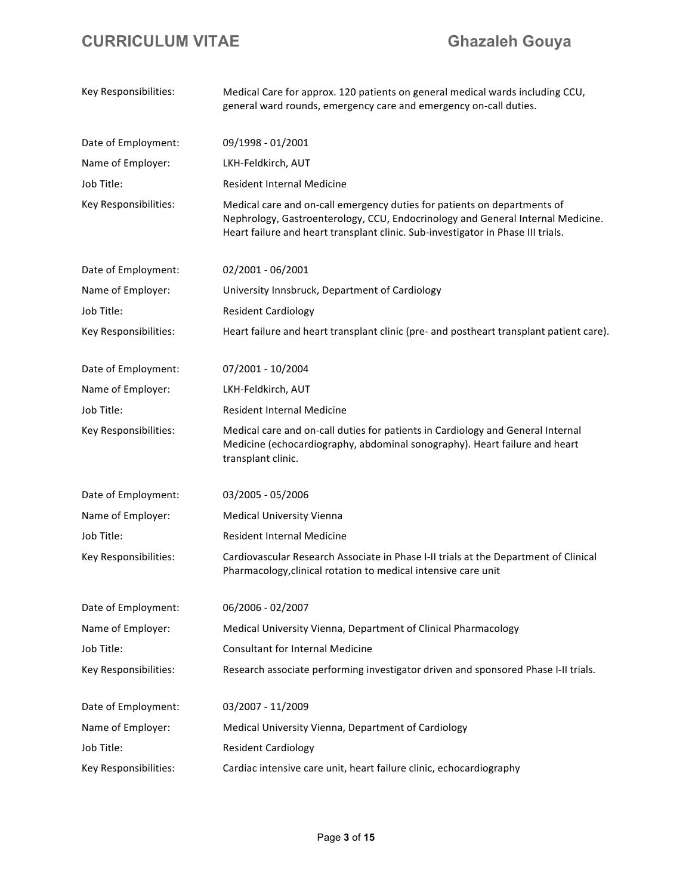| Key Responsibilities: | Medical Care for approx. 120 patients on general medical wards including CCU,<br>general ward rounds, emergency care and emergency on-call duties.                                                                                              |
|-----------------------|-------------------------------------------------------------------------------------------------------------------------------------------------------------------------------------------------------------------------------------------------|
| Date of Employment:   | 09/1998 - 01/2001                                                                                                                                                                                                                               |
| Name of Employer:     | LKH-Feldkirch, AUT                                                                                                                                                                                                                              |
| Job Title:            | <b>Resident Internal Medicine</b>                                                                                                                                                                                                               |
| Key Responsibilities: | Medical care and on-call emergency duties for patients on departments of<br>Nephrology, Gastroenterology, CCU, Endocrinology and General Internal Medicine.<br>Heart failure and heart transplant clinic. Sub-investigator in Phase III trials. |
| Date of Employment:   | 02/2001 - 06/2001                                                                                                                                                                                                                               |
| Name of Employer:     | University Innsbruck, Department of Cardiology                                                                                                                                                                                                  |
| Job Title:            | <b>Resident Cardiology</b>                                                                                                                                                                                                                      |
| Key Responsibilities: | Heart failure and heart transplant clinic (pre- and postheart transplant patient care).                                                                                                                                                         |
| Date of Employment:   | 07/2001 - 10/2004                                                                                                                                                                                                                               |
| Name of Employer:     | LKH-Feldkirch, AUT                                                                                                                                                                                                                              |
| Job Title:            | <b>Resident Internal Medicine</b>                                                                                                                                                                                                               |
| Key Responsibilities: | Medical care and on-call duties for patients in Cardiology and General Internal<br>Medicine (echocardiography, abdominal sonography). Heart failure and heart<br>transplant clinic.                                                             |
| Date of Employment:   | 03/2005 - 05/2006                                                                                                                                                                                                                               |
| Name of Employer:     | <b>Medical University Vienna</b>                                                                                                                                                                                                                |
| Job Title:            | <b>Resident Internal Medicine</b>                                                                                                                                                                                                               |
| Key Responsibilities: | Cardiovascular Research Associate in Phase I-II trials at the Department of Clinical<br>Pharmacology, clinical rotation to medical intensive care unit                                                                                          |
| Date of Employment:   | 06/2006 - 02/2007                                                                                                                                                                                                                               |
| Name of Employer:     | Medical University Vienna, Department of Clinical Pharmacology                                                                                                                                                                                  |
| Job Title:            | <b>Consultant for Internal Medicine</b>                                                                                                                                                                                                         |
| Key Responsibilities: | Research associate performing investigator driven and sponsored Phase I-II trials.                                                                                                                                                              |
| Date of Employment:   | 03/2007 - 11/2009                                                                                                                                                                                                                               |
| Name of Employer:     | Medical University Vienna, Department of Cardiology                                                                                                                                                                                             |
| Job Title:            | <b>Resident Cardiology</b>                                                                                                                                                                                                                      |
| Key Responsibilities: | Cardiac intensive care unit, heart failure clinic, echocardiography                                                                                                                                                                             |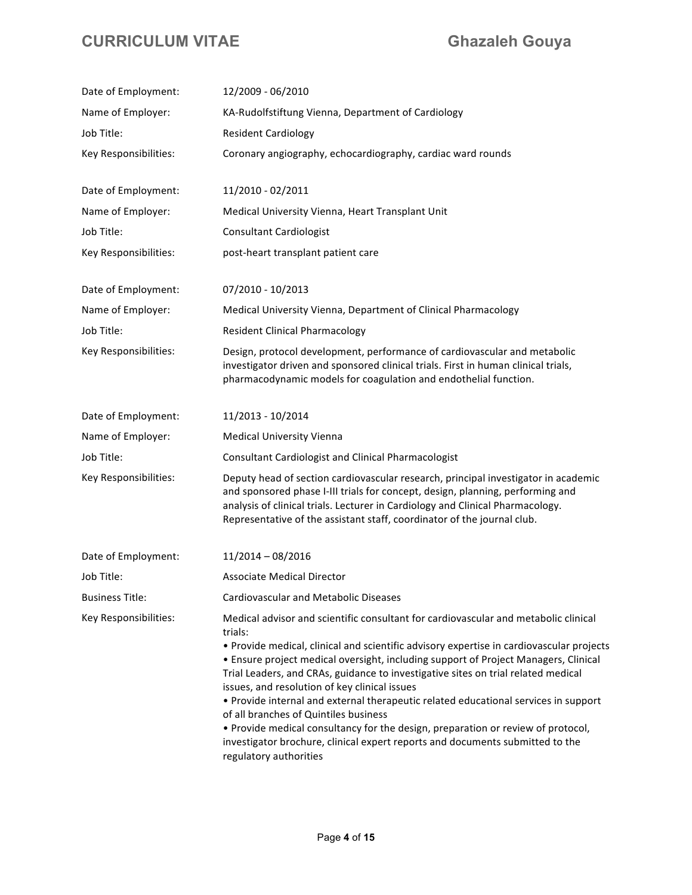| Date of Employment:    | 12/2009 - 06/2010                                                                                                                                                                                                                                                                                                                                                                                                                                                                                                                                                                                                                                                                                                                                      |
|------------------------|--------------------------------------------------------------------------------------------------------------------------------------------------------------------------------------------------------------------------------------------------------------------------------------------------------------------------------------------------------------------------------------------------------------------------------------------------------------------------------------------------------------------------------------------------------------------------------------------------------------------------------------------------------------------------------------------------------------------------------------------------------|
| Name of Employer:      | KA-Rudolfstiftung Vienna, Department of Cardiology                                                                                                                                                                                                                                                                                                                                                                                                                                                                                                                                                                                                                                                                                                     |
| Job Title:             | <b>Resident Cardiology</b>                                                                                                                                                                                                                                                                                                                                                                                                                                                                                                                                                                                                                                                                                                                             |
| Key Responsibilities:  | Coronary angiography, echocardiography, cardiac ward rounds                                                                                                                                                                                                                                                                                                                                                                                                                                                                                                                                                                                                                                                                                            |
|                        |                                                                                                                                                                                                                                                                                                                                                                                                                                                                                                                                                                                                                                                                                                                                                        |
| Date of Employment:    | 11/2010 - 02/2011                                                                                                                                                                                                                                                                                                                                                                                                                                                                                                                                                                                                                                                                                                                                      |
| Name of Employer:      | Medical University Vienna, Heart Transplant Unit                                                                                                                                                                                                                                                                                                                                                                                                                                                                                                                                                                                                                                                                                                       |
| Job Title:             | <b>Consultant Cardiologist</b>                                                                                                                                                                                                                                                                                                                                                                                                                                                                                                                                                                                                                                                                                                                         |
| Key Responsibilities:  | post-heart transplant patient care                                                                                                                                                                                                                                                                                                                                                                                                                                                                                                                                                                                                                                                                                                                     |
| Date of Employment:    | 07/2010 - 10/2013                                                                                                                                                                                                                                                                                                                                                                                                                                                                                                                                                                                                                                                                                                                                      |
| Name of Employer:      | Medical University Vienna, Department of Clinical Pharmacology                                                                                                                                                                                                                                                                                                                                                                                                                                                                                                                                                                                                                                                                                         |
| Job Title:             | <b>Resident Clinical Pharmacology</b>                                                                                                                                                                                                                                                                                                                                                                                                                                                                                                                                                                                                                                                                                                                  |
| Key Responsibilities:  | Design, protocol development, performance of cardiovascular and metabolic<br>investigator driven and sponsored clinical trials. First in human clinical trials,<br>pharmacodynamic models for coagulation and endothelial function.                                                                                                                                                                                                                                                                                                                                                                                                                                                                                                                    |
| Date of Employment:    | 11/2013 - 10/2014                                                                                                                                                                                                                                                                                                                                                                                                                                                                                                                                                                                                                                                                                                                                      |
| Name of Employer:      | <b>Medical University Vienna</b>                                                                                                                                                                                                                                                                                                                                                                                                                                                                                                                                                                                                                                                                                                                       |
| Job Title:             | <b>Consultant Cardiologist and Clinical Pharmacologist</b>                                                                                                                                                                                                                                                                                                                                                                                                                                                                                                                                                                                                                                                                                             |
| Key Responsibilities:  | Deputy head of section cardiovascular research, principal investigator in academic<br>and sponsored phase I-III trials for concept, design, planning, performing and<br>analysis of clinical trials. Lecturer in Cardiology and Clinical Pharmacology.<br>Representative of the assistant staff, coordinator of the journal club.                                                                                                                                                                                                                                                                                                                                                                                                                      |
| Date of Employment:    | $11/2014 - 08/2016$                                                                                                                                                                                                                                                                                                                                                                                                                                                                                                                                                                                                                                                                                                                                    |
| Job Title:             | <b>Associate Medical Director</b>                                                                                                                                                                                                                                                                                                                                                                                                                                                                                                                                                                                                                                                                                                                      |
| <b>Business Title:</b> | Cardiovascular and Metabolic Diseases                                                                                                                                                                                                                                                                                                                                                                                                                                                                                                                                                                                                                                                                                                                  |
| Key Responsibilities:  | Medical advisor and scientific consultant for cardiovascular and metabolic clinical<br>trials:<br>. Provide medical, clinical and scientific advisory expertise in cardiovascular projects<br>• Ensure project medical oversight, including support of Project Managers, Clinical<br>Trial Leaders, and CRAs, guidance to investigative sites on trial related medical<br>issues, and resolution of key clinical issues<br>· Provide internal and external therapeutic related educational services in support<br>of all branches of Quintiles business<br>. Provide medical consultancy for the design, preparation or review of protocol,<br>investigator brochure, clinical expert reports and documents submitted to the<br>regulatory authorities |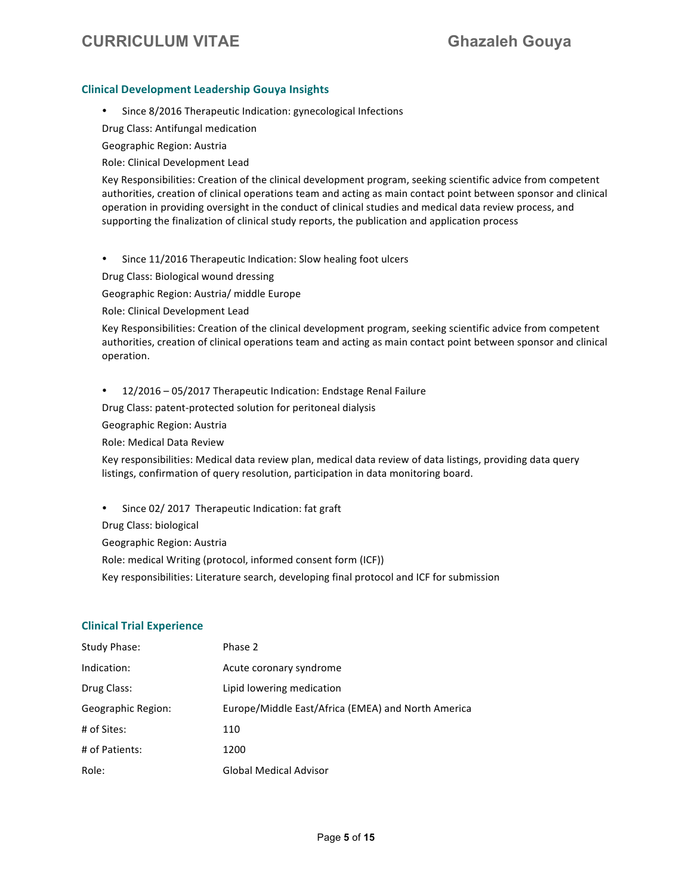#### **Clinical Development Leadership Gouya Insights**

• Since 8/2016 Therapeutic Indication: gynecological Infections

Drug Class: Antifungal medication

Geographic Region: Austria

Role: Clinical Development Lead

Key Responsibilities: Creation of the clinical development program, seeking scientific advice from competent authorities, creation of clinical operations team and acting as main contact point between sponsor and clinical operation in providing oversight in the conduct of clinical studies and medical data review process, and supporting the finalization of clinical study reports, the publication and application process

• Since 11/2016 Therapeutic Indication: Slow healing foot ulcers

Drug Class: Biological wound dressing

Geographic Region: Austria/ middle Europe

Role: Clinical Development Lead

Key Responsibilities: Creation of the clinical development program, seeking scientific advice from competent authorities, creation of clinical operations team and acting as main contact point between sponsor and clinical operation.

• 12/2016 - 05/2017 Therapeutic Indication: Endstage Renal Failure

Drug Class: patent-protected solution for peritoneal dialysis

Geographic Region: Austria

Role: Medical Data Review

Key responsibilities: Medical data review plan, medical data review of data listings, providing data query listings, confirmation of query resolution, participation in data monitoring board.

• Since 02/ 2017 Therapeutic Indication: fat graft

Drug Class: biological

Geographic Region: Austria

Role: medical Writing (protocol, informed consent form (ICF))

Key responsibilities: Literature search, developing final protocol and ICF for submission

#### **Clinical Trial Experience**

| Study Phase:       | Phase 2                                            |
|--------------------|----------------------------------------------------|
| Indication:        | Acute coronary syndrome                            |
| Drug Class:        | Lipid lowering medication                          |
| Geographic Region: | Europe/Middle East/Africa (EMEA) and North America |
| # of Sites:        | 110                                                |
| # of Patients:     | 1200                                               |
| Role:              | Global Medical Advisor                             |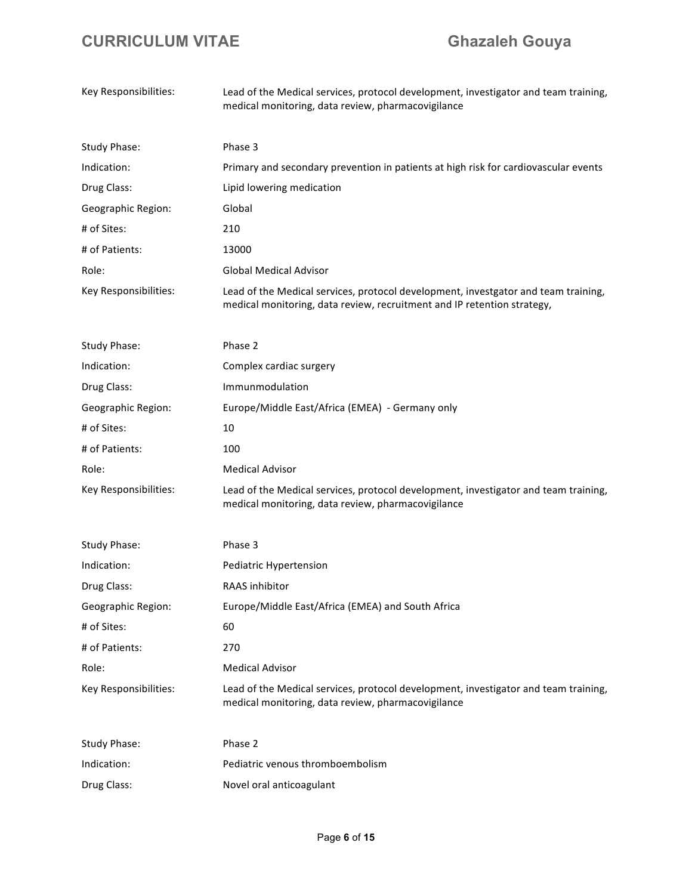| Key Responsibilities: | Lead of the Medical services, protocol development, investigator and team training,<br>medical monitoring, data review, pharmacovigilance                     |
|-----------------------|---------------------------------------------------------------------------------------------------------------------------------------------------------------|
| Study Phase:          | Phase 3                                                                                                                                                       |
| Indication:           | Primary and secondary prevention in patients at high risk for cardiovascular events                                                                           |
| Drug Class:           | Lipid lowering medication                                                                                                                                     |
| Geographic Region:    | Global                                                                                                                                                        |
| # of Sites:           | 210                                                                                                                                                           |
| # of Patients:        | 13000                                                                                                                                                         |
| Role:                 | <b>Global Medical Advisor</b>                                                                                                                                 |
| Key Responsibilities: | Lead of the Medical services, protocol development, investgator and team training,<br>medical monitoring, data review, recruitment and IP retention strategy, |
| Study Phase:          | Phase 2                                                                                                                                                       |
| Indication:           | Complex cardiac surgery                                                                                                                                       |
| Drug Class:           | Immunmodulation                                                                                                                                               |
| Geographic Region:    | Europe/Middle East/Africa (EMEA) - Germany only                                                                                                               |
| # of Sites:           | 10                                                                                                                                                            |
| # of Patients:        | 100                                                                                                                                                           |
| Role:                 | <b>Medical Advisor</b>                                                                                                                                        |
| Key Responsibilities: | Lead of the Medical services, protocol development, investigator and team training,<br>medical monitoring, data review, pharmacovigilance                     |
| <b>Study Phase:</b>   | Phase 3                                                                                                                                                       |
| Indication:           | Pediatric Hypertension                                                                                                                                        |
| Drug Class:           | RAAS inhibitor                                                                                                                                                |
| Geographic Region:    | Europe/Middle East/Africa (EMEA) and South Africa                                                                                                             |
| # of Sites:           | 60                                                                                                                                                            |
| # of Patients:        | 270                                                                                                                                                           |
| Role:                 | <b>Medical Advisor</b>                                                                                                                                        |
| Key Responsibilities: | Lead of the Medical services, protocol development, investigator and team training,<br>medical monitoring, data review, pharmacovigilance                     |
| <b>Study Phase:</b>   | Phase 2                                                                                                                                                       |
| Indication:           | Pediatric venous thromboembolism                                                                                                                              |
| Drug Class:           | Novel oral anticoagulant                                                                                                                                      |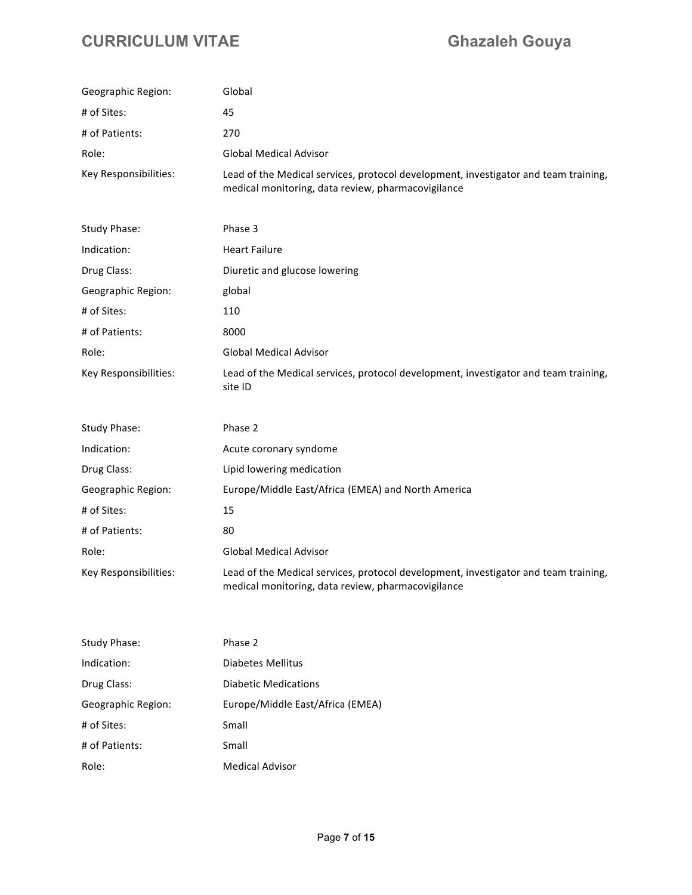| Geographic Region:    | Global                                                                                                                                    |
|-----------------------|-------------------------------------------------------------------------------------------------------------------------------------------|
| # of Sites:           | 45                                                                                                                                        |
| # of Patients:        | 270                                                                                                                                       |
| Role:                 | <b>Global Medical Advisor</b>                                                                                                             |
| Key Responsibilities: | Lead of the Medical services, protocol development, investigator and team training,<br>medical monitoring, data review, pharmacovigilance |
| <b>Study Phase:</b>   | Phase 3                                                                                                                                   |
| Indication:           | <b>Heart Failure</b>                                                                                                                      |
| Drug Class:           | Diuretic and glucose lowering                                                                                                             |
| Geographic Region:    | global                                                                                                                                    |
| # of Sites:           | 110                                                                                                                                       |
| # of Patients:        | 8000                                                                                                                                      |
| Role:                 | <b>Global Medical Advisor</b>                                                                                                             |
| Key Responsibilities: | Lead of the Medical services, protocol development, investigator and team training,<br>site ID                                            |
| <b>Study Phase:</b>   | Phase 2                                                                                                                                   |
| Indication:           | Acute coronary syndome                                                                                                                    |
| Drug Class:           | Lipid lowering medication                                                                                                                 |
| Geographic Region:    | Europe/Middle East/Africa (EMEA) and North America                                                                                        |
| # of Sites:           | 15                                                                                                                                        |
| # of Patients:        | 80                                                                                                                                        |
| Role:                 | <b>Global Medical Advisor</b>                                                                                                             |
| Key Responsibilities: | Lead of the Medical services, protocol development, investigator and team training,<br>medical monitoring, data review, pharmacovigilance |
| <b>Study Phase:</b>   | Phase 2                                                                                                                                   |

| Indication:        | Diabetes Mellitus                |
|--------------------|----------------------------------|
| Drug Class:        | Diabetic Medications             |
| Geographic Region: | Europe/Middle East/Africa (EMEA) |
| # of Sites:        | Small                            |
| # of Patients:     | Small                            |
| Role:              | <b>Medical Advisor</b>           |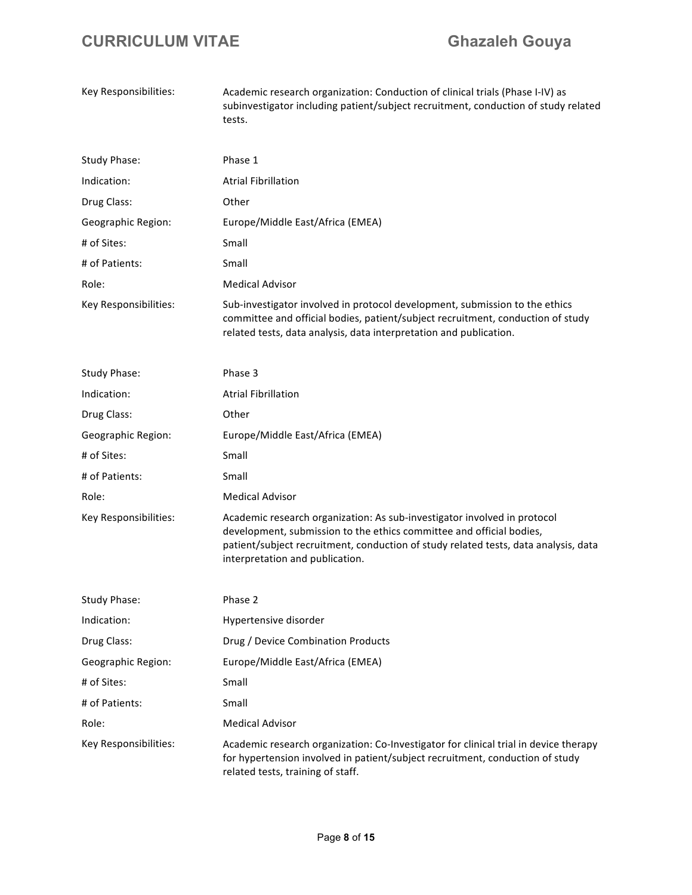| Key Responsibilities: | Academic research organization: Conduction of clinical trials (Phase I-IV) as<br>subinvestigator including patient/subject recruitment, conduction of study related<br>tests.                                                                                              |
|-----------------------|----------------------------------------------------------------------------------------------------------------------------------------------------------------------------------------------------------------------------------------------------------------------------|
| <b>Study Phase:</b>   | Phase 1                                                                                                                                                                                                                                                                    |
| Indication:           | <b>Atrial Fibrillation</b>                                                                                                                                                                                                                                                 |
| Drug Class:           | Other                                                                                                                                                                                                                                                                      |
| Geographic Region:    | Europe/Middle East/Africa (EMEA)                                                                                                                                                                                                                                           |
| # of Sites:           | Small                                                                                                                                                                                                                                                                      |
| # of Patients:        | Small                                                                                                                                                                                                                                                                      |
| Role:                 | <b>Medical Advisor</b>                                                                                                                                                                                                                                                     |
| Key Responsibilities: | Sub-investigator involved in protocol development, submission to the ethics<br>committee and official bodies, patient/subject recruitment, conduction of study<br>related tests, data analysis, data interpretation and publication.                                       |
| <b>Study Phase:</b>   | Phase 3                                                                                                                                                                                                                                                                    |
| Indication:           | <b>Atrial Fibrillation</b>                                                                                                                                                                                                                                                 |
| Drug Class:           | Other                                                                                                                                                                                                                                                                      |
| Geographic Region:    | Europe/Middle East/Africa (EMEA)                                                                                                                                                                                                                                           |
| # of Sites:           | Small                                                                                                                                                                                                                                                                      |
| # of Patients:        | Small                                                                                                                                                                                                                                                                      |
| Role:                 | <b>Medical Advisor</b>                                                                                                                                                                                                                                                     |
| Key Responsibilities: | Academic research organization: As sub-investigator involved in protocol<br>development, submission to the ethics committee and official bodies,<br>patient/subject recruitment, conduction of study related tests, data analysis, data<br>interpretation and publication. |
| <b>Study Phase:</b>   | Phase 2                                                                                                                                                                                                                                                                    |
| Indication:           | Hypertensive disorder                                                                                                                                                                                                                                                      |
| Drug Class:           | Drug / Device Combination Products                                                                                                                                                                                                                                         |
| Geographic Region:    | Europe/Middle East/Africa (EMEA)                                                                                                                                                                                                                                           |
| # of Sites:           | Small                                                                                                                                                                                                                                                                      |
| # of Patients:        | Small                                                                                                                                                                                                                                                                      |
| Role:                 | <b>Medical Advisor</b>                                                                                                                                                                                                                                                     |
| Key Responsibilities: | Academic research organization: Co-Investigator for clinical trial in device therapy<br>for hypertension involved in patient/subject recruitment, conduction of study<br>related tests, training of staff.                                                                 |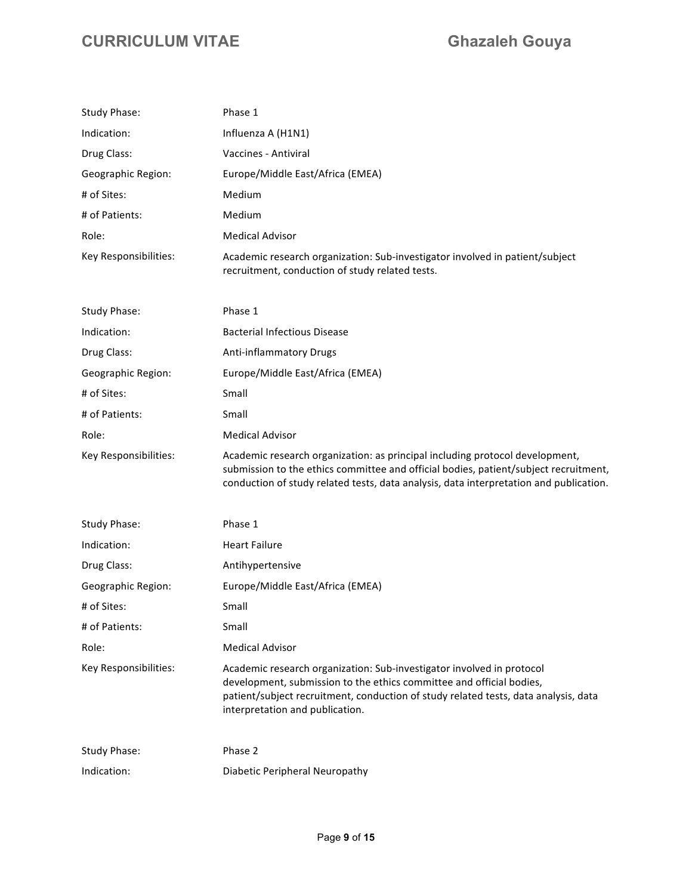| <b>Study Phase:</b>   | Phase 1                                                                                                                                                                                                                                                                 |
|-----------------------|-------------------------------------------------------------------------------------------------------------------------------------------------------------------------------------------------------------------------------------------------------------------------|
| Indication:           | Influenza A (H1N1)                                                                                                                                                                                                                                                      |
| Drug Class:           | Vaccines - Antiviral                                                                                                                                                                                                                                                    |
| Geographic Region:    | Europe/Middle East/Africa (EMEA)                                                                                                                                                                                                                                        |
| # of Sites:           | Medium                                                                                                                                                                                                                                                                  |
| # of Patients:        | Medium                                                                                                                                                                                                                                                                  |
| Role:                 | <b>Medical Advisor</b>                                                                                                                                                                                                                                                  |
| Key Responsibilities: | Academic research organization: Sub-investigator involved in patient/subject<br>recruitment, conduction of study related tests.                                                                                                                                         |
| Study Phase:          | Phase 1                                                                                                                                                                                                                                                                 |
| Indication:           | <b>Bacterial Infectious Disease</b>                                                                                                                                                                                                                                     |
| Drug Class:           | Anti-inflammatory Drugs                                                                                                                                                                                                                                                 |
| Geographic Region:    | Europe/Middle East/Africa (EMEA)                                                                                                                                                                                                                                        |
| # of Sites:           | Small                                                                                                                                                                                                                                                                   |
| # of Patients:        | Small                                                                                                                                                                                                                                                                   |
| Role:                 | <b>Medical Advisor</b>                                                                                                                                                                                                                                                  |
| Key Responsibilities: | Academic research organization: as principal including protocol development,<br>submission to the ethics committee and official bodies, patient/subject recruitment,<br>conduction of study related tests, data analysis, data interpretation and publication.          |
| Study Phase:          | Phase 1                                                                                                                                                                                                                                                                 |
| Indication:           | <b>Heart Failure</b>                                                                                                                                                                                                                                                    |
| Drug Class:           | Antihypertensive                                                                                                                                                                                                                                                        |
| Geographic Region:    | Europe/Middle East/Africa (EMEA)                                                                                                                                                                                                                                        |
| # of Sites:           | Small                                                                                                                                                                                                                                                                   |
| # of Patients:        | Small                                                                                                                                                                                                                                                                   |
| Role:                 | <b>Medical Advisor</b>                                                                                                                                                                                                                                                  |
| Key Responsibilities: | Academic research organization: Sub-investigator involved in protocol<br>development, submission to the ethics committee and official bodies,<br>patient/subject recruitment, conduction of study related tests, data analysis, data<br>interpretation and publication. |
| Study Phase:          | Phase 2                                                                                                                                                                                                                                                                 |
| Indication:           | Diabetic Peripheral Neuropathy                                                                                                                                                                                                                                          |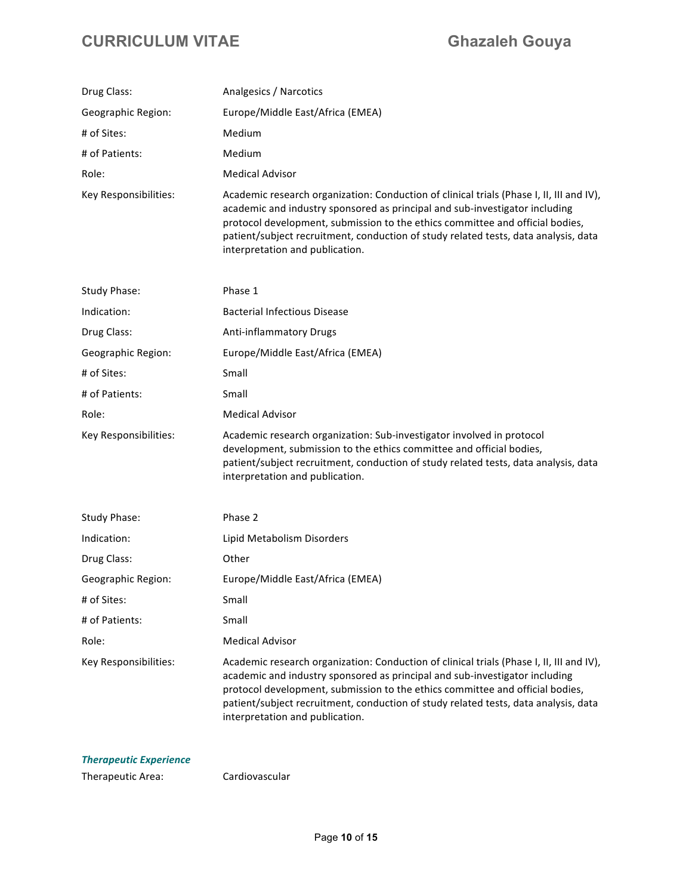| Drug Class:           | Analgesics / Narcotics                                                                                                                                                                                                                                                                                                                                                             |
|-----------------------|------------------------------------------------------------------------------------------------------------------------------------------------------------------------------------------------------------------------------------------------------------------------------------------------------------------------------------------------------------------------------------|
| Geographic Region:    | Europe/Middle East/Africa (EMEA)                                                                                                                                                                                                                                                                                                                                                   |
| # of Sites:           | Medium                                                                                                                                                                                                                                                                                                                                                                             |
| # of Patients:        | Medium                                                                                                                                                                                                                                                                                                                                                                             |
| Role:                 | <b>Medical Advisor</b>                                                                                                                                                                                                                                                                                                                                                             |
| Key Responsibilities: | Academic research organization: Conduction of clinical trials (Phase I, II, III and IV),<br>academic and industry sponsored as principal and sub-investigator including<br>protocol development, submission to the ethics committee and official bodies,<br>patient/subject recruitment, conduction of study related tests, data analysis, data<br>interpretation and publication. |
| Study Phase:          | Phase 1                                                                                                                                                                                                                                                                                                                                                                            |
| Indication:           | <b>Bacterial Infectious Disease</b>                                                                                                                                                                                                                                                                                                                                                |
| Drug Class:           | Anti-inflammatory Drugs                                                                                                                                                                                                                                                                                                                                                            |
| Geographic Region:    | Europe/Middle East/Africa (EMEA)                                                                                                                                                                                                                                                                                                                                                   |
| # of Sites:           | Small                                                                                                                                                                                                                                                                                                                                                                              |
| # of Patients:        | Small                                                                                                                                                                                                                                                                                                                                                                              |
| Role:                 | <b>Medical Advisor</b>                                                                                                                                                                                                                                                                                                                                                             |
| Key Responsibilities: | Academic research organization: Sub-investigator involved in protocol<br>development, submission to the ethics committee and official bodies,<br>patient/subject recruitment, conduction of study related tests, data analysis, data<br>interpretation and publication.                                                                                                            |
| <b>Study Phase:</b>   | Phase 2                                                                                                                                                                                                                                                                                                                                                                            |
| Indication:           | Lipid Metabolism Disorders                                                                                                                                                                                                                                                                                                                                                         |
| Drug Class:           | Other                                                                                                                                                                                                                                                                                                                                                                              |
| Geographic Region:    | Europe/Middle East/Africa (EMEA)                                                                                                                                                                                                                                                                                                                                                   |
| # of Sites:           | Small                                                                                                                                                                                                                                                                                                                                                                              |
| # of Patients:        | Small                                                                                                                                                                                                                                                                                                                                                                              |
| Role:                 | <b>Medical Advisor</b>                                                                                                                                                                                                                                                                                                                                                             |
| Key Responsibilities: | Academic research organization: Conduction of clinical trials (Phase I, II, III and IV),<br>academic and industry sponsored as principal and sub-investigator including<br>protocol development, submission to the ethics committee and official bodies,<br>patient/subject recruitment, conduction of study related tests, data analysis, data<br>interpretation and publication. |

### **Therapeutic Experience**

Therapeutic Area: Cardiovascular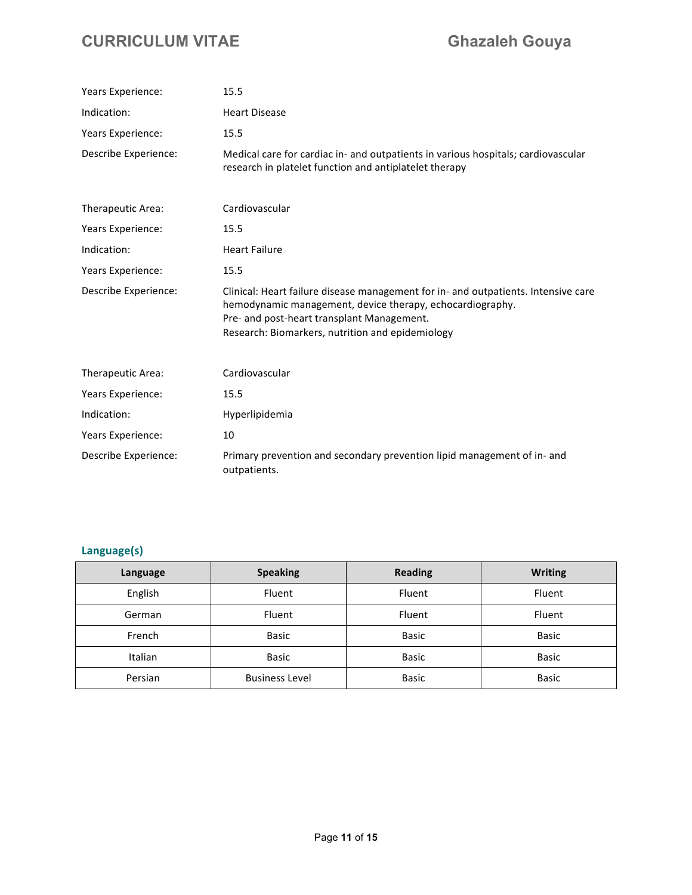| Years Experience:    | 15.5                                                                                                                                                                                                                                              |  |  |
|----------------------|---------------------------------------------------------------------------------------------------------------------------------------------------------------------------------------------------------------------------------------------------|--|--|
| Indication:          | <b>Heart Disease</b>                                                                                                                                                                                                                              |  |  |
| Years Experience:    | 15.5                                                                                                                                                                                                                                              |  |  |
| Describe Experience: | Medical care for cardiac in- and outpatients in various hospitals; cardiovascular<br>research in platelet function and antiplatelet therapy                                                                                                       |  |  |
| Therapeutic Area:    | Cardiovascular                                                                                                                                                                                                                                    |  |  |
| Years Experience:    | 15.5                                                                                                                                                                                                                                              |  |  |
| Indication:          | <b>Heart Failure</b>                                                                                                                                                                                                                              |  |  |
| Years Experience:    | 15.5                                                                                                                                                                                                                                              |  |  |
| Describe Experience: | Clinical: Heart failure disease management for in- and outpatients. Intensive care<br>hemodynamic management, device therapy, echocardiography.<br>Pre- and post-heart transplant Management.<br>Research: Biomarkers, nutrition and epidemiology |  |  |
| Therapeutic Area:    | Cardiovascular                                                                                                                                                                                                                                    |  |  |
| Years Experience:    | 15.5                                                                                                                                                                                                                                              |  |  |
| Indication:          | Hyperlipidemia                                                                                                                                                                                                                                    |  |  |
| Years Experience:    | 10                                                                                                                                                                                                                                                |  |  |
| Describe Experience: | Primary prevention and secondary prevention lipid management of in- and<br>outpatients.                                                                                                                                                           |  |  |

### **Language(s)**

| Language       | <b>Speaking</b>       | <b>Reading</b> | <b>Writing</b> |
|----------------|-----------------------|----------------|----------------|
| English        | Fluent                | Fluent         | Fluent         |
| German         | Fluent                | Fluent         | Fluent         |
| French         | Basic                 | <b>Basic</b>   | <b>Basic</b>   |
| <b>Italian</b> | Basic                 | <b>Basic</b>   | <b>Basic</b>   |
| Persian        | <b>Business Level</b> | <b>Basic</b>   | <b>Basic</b>   |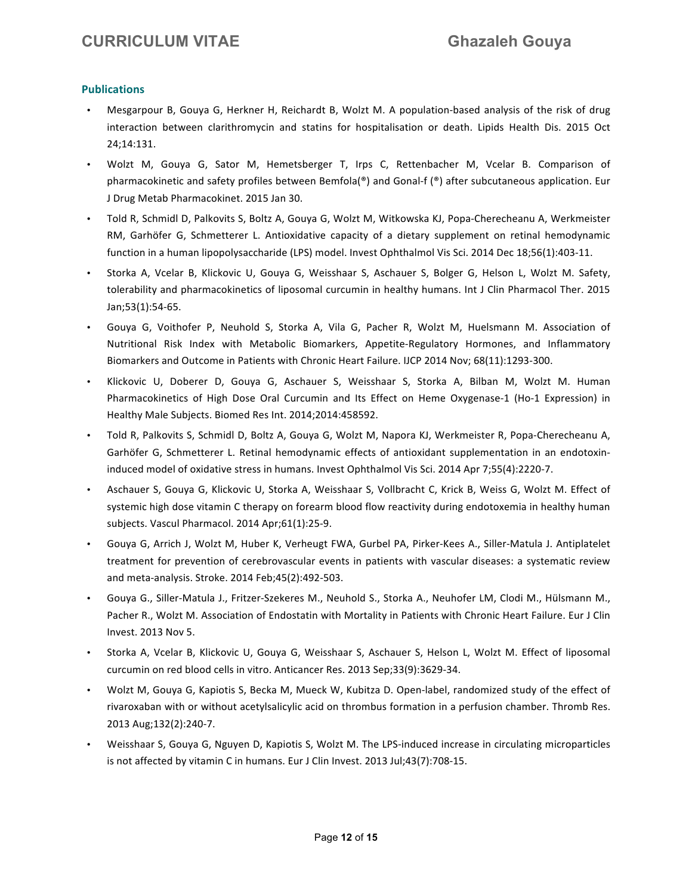#### **Publications**

- Mesgarpour B, Gouya G, Herkner H, Reichardt B, Wolzt M. A population-based analysis of the risk of drug interaction between clarithromycin and statins for hospitalisation or death. Lipids Health Dis. 2015 Oct 24;14:131.
- Wolzt M, Gouya G, Sator M, Hemetsberger T, Irps C, Rettenbacher M, Vcelar B. Comparison of pharmacokinetic and safety profiles between Bemfola(®) and Gonal-f (®) after subcutaneous application. Eur J Drug Metab Pharmacokinet. 2015 Jan 30.
- Told R, Schmidl D, Palkovits S, Boltz A, Gouya G, Wolzt M, Witkowska KJ, Popa-Cherecheanu A, Werkmeister RM, Garhöfer G, Schmetterer L. Antioxidative capacity of a dietary supplement on retinal hemodynamic function in a human lipopolysaccharide (LPS) model. Invest Ophthalmol Vis Sci. 2014 Dec 18;56(1):403-11.
- Storka A, Vcelar B, Klickovic U, Gouya G, Weisshaar S, Aschauer S, Bolger G, Helson L, Wolzt M. Safety, tolerability and pharmacokinetics of liposomal curcumin in healthy humans. Int J Clin Pharmacol Ther. 2015 Jan;53(1):54-65.
- Gouya G, Voithofer P, Neuhold S, Storka A, Vila G, Pacher R, Wolzt M, Huelsmann M. Association of Nutritional Risk Index with Metabolic Biomarkers, Appetite-Regulatory Hormones, and Inflammatory Biomarkers and Outcome in Patients with Chronic Heart Failure. IJCP 2014 Nov; 68(11):1293-300.
- Klickovic U, Doberer D, Gouya G, Aschauer S, Weisshaar S, Storka A, Bilban M, Wolzt M. Human Pharmacokinetics of High Dose Oral Curcumin and Its Effect on Heme Oxygenase-1 (Ho-1 Expression) in Healthy Male Subjects. Biomed Res Int. 2014;2014:458592.
- Told R, Palkovits S, Schmidl D, Boltz A, Gouya G, Wolzt M, Napora KJ, Werkmeister R, Popa-Cherecheanu A, Garhöfer G, Schmetterer L. Retinal hemodynamic effects of antioxidant supplementation in an endotoxininduced model of oxidative stress in humans. Invest Ophthalmol Vis Sci. 2014 Apr 7;55(4):2220-7.
- Aschauer S, Gouya G, Klickovic U, Storka A, Weisshaar S, Vollbracht C, Krick B, Weiss G, Wolzt M. Effect of systemic high dose vitamin C therapy on forearm blood flow reactivity during endotoxemia in healthy human subjects. Vascul Pharmacol. 2014 Apr;61(1):25-9.
- Gouya G, Arrich J, Wolzt M, Huber K, Verheugt FWA, Gurbel PA, Pirker-Kees A., Siller-Matula J. Antiplatelet treatment for prevention of cerebrovascular events in patients with vascular diseases: a systematic review and meta-analysis. Stroke. 2014 Feb;45(2):492-503.
- Gouya G., Siller-Matula J., Fritzer-Szekeres M., Neuhold S., Storka A., Neuhofer LM, Clodi M., Hülsmann M., Pacher R., Wolzt M. Association of Endostatin with Mortality in Patients with Chronic Heart Failure. Eur J Clin Invest. 2013 Nov 5.
- Storka A, Vcelar B, Klickovic U, Gouya G, Weisshaar S, Aschauer S, Helson L, Wolzt M. Effect of liposomal curcumin on red blood cells in vitro. Anticancer Res. 2013 Sep;33(9):3629-34.
- Wolzt M, Gouya G, Kapiotis S, Becka M, Mueck W, Kubitza D. Open-label, randomized study of the effect of rivaroxaban with or without acetylsalicylic acid on thrombus formation in a perfusion chamber. Thromb Res. 2013 Aug;132(2):240-7.
- Weisshaar S, Gouya G, Nguyen D, Kapiotis S, Wolzt M. The LPS-induced increase in circulating microparticles is not affected by vitamin C in humans. Eur J Clin Invest. 2013 Jul;43(7):708-15.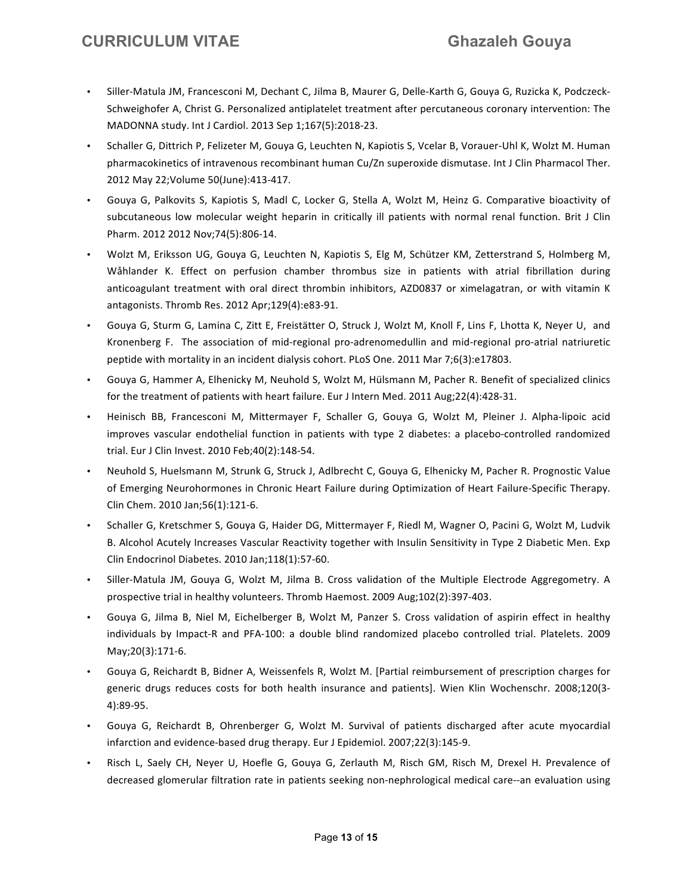- Siller-Matula JM, Francesconi M, Dechant C, Jilma B, Maurer G, Delle-Karth G, Gouya G, Ruzicka K, Podczeck-Schweighofer A, Christ G. Personalized antiplatelet treatment after percutaneous coronary intervention: The MADONNA study. Int J Cardiol. 2013 Sep 1;167(5):2018-23.
- Schaller G, Dittrich P, Felizeter M, Gouya G, Leuchten N, Kapiotis S, Vcelar B, Vorauer-Uhl K, Wolzt M. Human pharmacokinetics of intravenous recombinant human Cu/Zn superoxide dismutase. Int J Clin Pharmacol Ther. 2012 May 22; Volume 50(June): 413-417.
- Gouya G, Palkovits S, Kapiotis S, Madl C, Locker G, Stella A, Wolzt M, Heinz G. Comparative bioactivity of subcutaneous low molecular weight heparin in critically ill patients with normal renal function. Brit J Clin Pharm. 2012 2012 Nov;74(5):806-14.
- Wolzt M, Eriksson UG, Gouya G, Leuchten N, Kapiotis S, Elg M, Schützer KM, Zetterstrand S, Holmberg M, Wåhlander K. Effect on perfusion chamber thrombus size in patients with atrial fibrillation during anticoagulant treatment with oral direct thrombin inhibitors, AZD0837 or ximelagatran, or with vitamin K antagonists. Thromb Res. 2012 Apr;129(4):e83-91.
- Gouya G, Sturm G, Lamina C, Zitt E, Freistätter O, Struck J, Wolzt M, Knoll F, Lins F, Lhotta K, Neyer U, and Kronenberg F. The association of mid-regional pro-adrenomedullin and mid-regional pro-atrial natriuretic peptide with mortality in an incident dialysis cohort. PLoS One. 2011 Mar 7;6(3):e17803.
- Gouya G, Hammer A, Elhenicky M, Neuhold S, Wolzt M, Hülsmann M, Pacher R. Benefit of specialized clinics for the treatment of patients with heart failure. Eur J Intern Med. 2011 Aug;22(4):428-31.
- Heinisch BB, Francesconi M, Mittermayer F, Schaller G, Gouya G, Wolzt M, Pleiner J. Alpha-lipoic acid improves vascular endothelial function in patients with type 2 diabetes: a placebo-controlled randomized trial. Eur J Clin Invest. 2010 Feb;40(2):148-54.
- Neuhold S, Huelsmann M, Strunk G, Struck J, Adlbrecht C, Gouya G, Elhenicky M, Pacher R. Prognostic Value of Emerging Neurohormones in Chronic Heart Failure during Optimization of Heart Failure-Specific Therapy. Clin Chem. 2010 Jan;56(1):121-6.
- Schaller G, Kretschmer S, Gouya G, Haider DG, Mittermayer F, Riedl M, Wagner O, Pacini G, Wolzt M, Ludvik B. Alcohol Acutely Increases Vascular Reactivity together with Insulin Sensitivity in Type 2 Diabetic Men. Exp Clin Endocrinol Diabetes. 2010 Jan;118(1):57-60.
- Siller-Matula JM, Gouya G, Wolzt M, Jilma B. Cross validation of the Multiple Electrode Aggregometry. A prospective trial in healthy volunteers. Thromb Haemost. 2009 Aug;102(2):397-403.
- Gouya G, Jilma B, Niel M, Eichelberger B, Wolzt M, Panzer S. Cross validation of aspirin effect in healthy individuals by Impact-R and PFA-100: a double blind randomized placebo controlled trial. Platelets. 2009 May;20(3):171-6.
- Gouya G, Reichardt B, Bidner A, Weissenfels R, Wolzt M. [Partial reimbursement of prescription charges for generic drugs reduces costs for both health insurance and patients]. Wien Klin Wochenschr. 2008;120(3-4):89-‐95.
- Gouya G, Reichardt B, Ohrenberger G, Wolzt M. Survival of patients discharged after acute myocardial infarction and evidence-based drug therapy. Eur J Epidemiol. 2007;22(3):145-9.
- Risch L, Saely CH, Neyer U, Hoefle G, Gouya G, Zerlauth M, Risch GM, Risch M, Drexel H. Prevalence of decreased glomerular filtration rate in patients seeking non-nephrological medical care--an evaluation using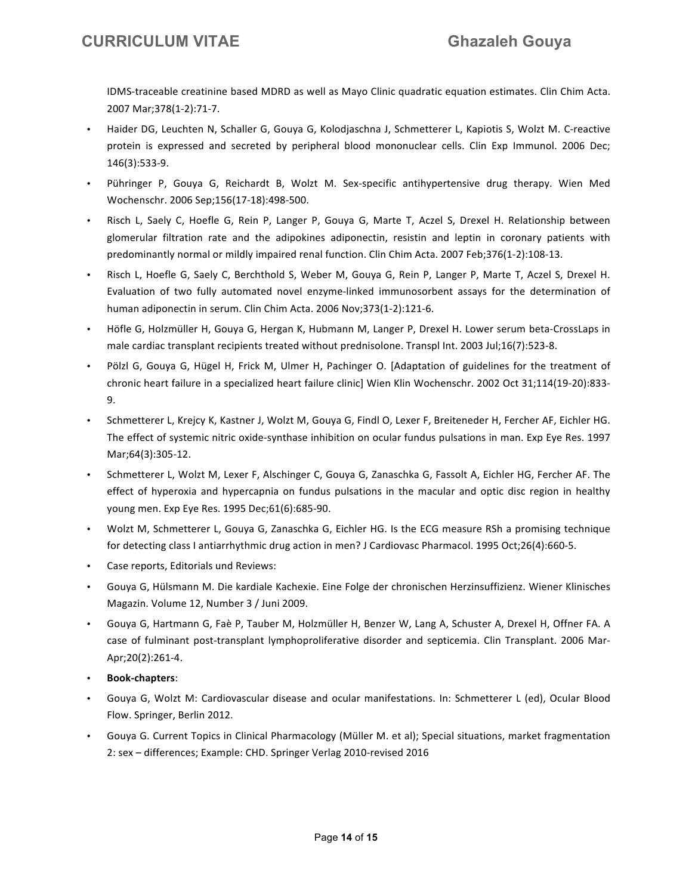IDMS-traceable creatinine based MDRD as well as Mayo Clinic quadratic equation estimates. Clin Chim Acta. 2007 Mar;378(1-2):71-7.

- Haider DG, Leuchten N, Schaller G, Gouya G, Kolodjaschna J, Schmetterer L, Kapiotis S, Wolzt M. C-reactive protein is expressed and secreted by peripheral blood mononuclear cells. Clin Exp Immunol. 2006 Dec; 146(3):533-9.
- Pühringer P, Gouya G, Reichardt B, Wolzt M. Sex-specific antihypertensive drug therapy. Wien Med Wochenschr. 2006 Sep;156(17-18):498-500.
- Risch L, Saely C, Hoefle G, Rein P, Langer P, Gouya G, Marte T, Aczel S, Drexel H. Relationship between glomerular filtration rate and the adipokines adiponectin, resistin and leptin in coronary patients with predominantly normal or mildly impaired renal function. Clin Chim Acta. 2007 Feb;376(1-2):108-13.
- Risch L, Hoefle G, Saely C, Berchthold S, Weber M, Gouya G, Rein P, Langer P, Marte T, Aczel S, Drexel H. Evaluation of two fully automated novel enzyme-linked immunosorbent assays for the determination of human adiponectin in serum. Clin Chim Acta. 2006 Nov;373(1-2):121-6.
- Höfle G, Holzmüller H, Gouya G, Hergan K, Hubmann M, Langer P, Drexel H. Lower serum beta-CrossLaps in male cardiac transplant recipients treated without prednisolone. Transpl Int. 2003 Jul;16(7):523-8.
- Pölzl G, Gouya G, Hügel H, Frick M, Ulmer H, Pachinger O. [Adaptation of guidelines for the treatment of chronic heart failure in a specialized heart failure clinic] Wien Klin Wochenschr. 2002 Oct 31;114(19-20):833-9.
- Schmetterer L, Krejcy K, Kastner J, Wolzt M, Gouya G, Findl O, Lexer F, Breiteneder H, Fercher AF, Eichler HG. The effect of systemic nitric oxide-synthase inhibition on ocular fundus pulsations in man. Exp Eye Res. 1997 Mar;64(3):305-12.
- Schmetterer L, Wolzt M, Lexer F, Alschinger C, Gouya G, Zanaschka G, Fassolt A, Eichler HG, Fercher AF. The effect of hyperoxia and hypercapnia on fundus pulsations in the macular and optic disc region in healthy young men. Exp Eye Res. 1995 Dec;61(6):685-90.
- Wolzt M, Schmetterer L, Gouya G, Zanaschka G, Eichler HG. Is the ECG measure RSh a promising technique for detecting class I antiarrhythmic drug action in men? J Cardiovasc Pharmacol. 1995 Oct;26(4):660-5.
- Case reports, Editorials und Reviews:
- Gouya G, Hülsmann M. Die kardiale Kachexie. Eine Folge der chronischen Herzinsuffizienz. Wiener Klinisches Magazin. Volume 12, Number 3 / Juni 2009.
- Gouya G, Hartmann G, Faè P, Tauber M, Holzmüller H, Benzer W, Lang A, Schuster A, Drexel H, Offner FA. A case of fulminant post-transplant lymphoproliferative disorder and septicemia. Clin Transplant. 2006 Mar-Apr;20(2):261-4.
- **Book-‐chapters**:
- Gouya G, Wolzt M: Cardiovascular disease and ocular manifestations. In: Schmetterer L (ed), Ocular Blood Flow. Springer, Berlin 2012.
- Gouya G. Current Topics in Clinical Pharmacology (Müller M. et al); Special situations, market fragmentation 2: sex - differences; Example: CHD. Springer Verlag 2010-revised 2016